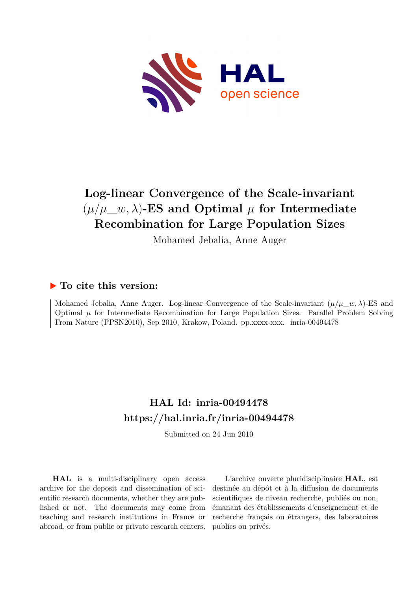

# **Log-linear Convergence of the Scale-invariant**  $(\mu/\mu \_\text{w}, \lambda)$ -ES and Optimal  $\mu$  for Intermediate **Recombination for Large Population Sizes**

Mohamed Jebalia, Anne Auger

## **To cite this version:**

Mohamed Jebalia, Anne Auger. Log-linear Convergence of the Scale-invariant  $(\mu/\mu \ w, \lambda)$ -ES and Optimal  $\mu$  for Intermediate Recombination for Large Population Sizes. Parallel Problem Solving From Nature (PPSN2010), Sep 2010, Krakow, Poland. pp.xxxx-xxx. inria-00494478

# **HAL Id: inria-00494478 <https://hal.inria.fr/inria-00494478>**

Submitted on 24 Jun 2010

**HAL** is a multi-disciplinary open access archive for the deposit and dissemination of scientific research documents, whether they are published or not. The documents may come from teaching and research institutions in France or abroad, or from public or private research centers.

L'archive ouverte pluridisciplinaire **HAL**, est destinée au dépôt et à la diffusion de documents scientifiques de niveau recherche, publiés ou non, émanant des établissements d'enseignement et de recherche français ou étrangers, des laboratoires publics ou privés.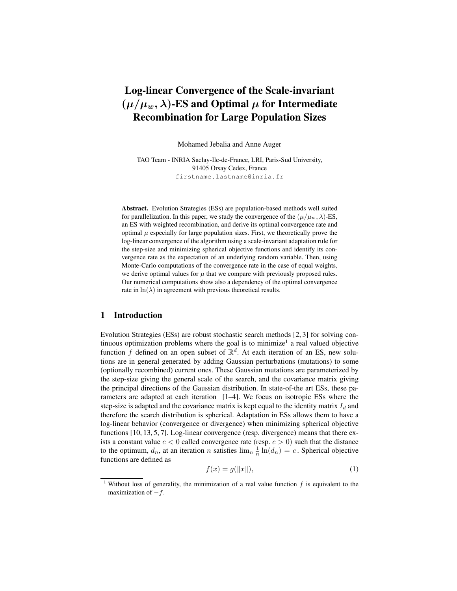## Log-linear Convergence of the Scale-invariant  $(\mu/\mu_w, \lambda)$ -ES and Optimal  $\mu$  for Intermediate Recombination for Large Population Sizes

Mohamed Jebalia and Anne Auger

TAO Team - INRIA Saclay-Ile-de-France, LRI, Paris-Sud University, 91405 Orsay Cedex, France firstname.lastname@inria.fr

Abstract. Evolution Strategies (ESs) are population-based methods well suited for parallelization. In this paper, we study the convergence of the  $(\mu/\mu_w, \lambda)$ -ES, an ES with weighted recombination, and derive its optimal convergence rate and optimal  $\mu$  especially for large population sizes. First, we theoretically prove the log-linear convergence of the algorithm using a scale-invariant adaptation rule for the step-size and minimizing spherical objective functions and identify its convergence rate as the expectation of an underlying random variable. Then, using Monte-Carlo computations of the convergence rate in the case of equal weights, we derive optimal values for  $\mu$  that we compare with previously proposed rules. Our numerical computations show also a dependency of the optimal convergence rate in  $\ln(\lambda)$  in agreement with previous theoretical results.

#### 1 Introduction

Evolution Strategies (ESs) are robust stochastic search methods [2, 3] for solving continuous optimization problems where the goal is to minimize<sup>1</sup> a real valued objective function f defined on an open subset of  $\mathbb{R}^d$ . At each iteration of an ES, new solutions are in general generated by adding Gaussian perturbations (mutations) to some (optionally recombined) current ones. These Gaussian mutations are parameterized by the step-size giving the general scale of the search, and the covariance matrix giving the principal directions of the Gaussian distribution. In state-of-the art ESs, these parameters are adapted at each iteration [1–4]. We focus on isotropic ESs where the step-size is adapted and the covariance matrix is kept equal to the identity matrix  $I_d$  and therefore the search distribution is spherical. Adaptation in ESs allows them to have a log-linear behavior (convergence or divergence) when minimizing spherical objective functions [10, 13, 5, 7]. Log-linear convergence (resp. divergence) means that there exists a constant value  $c < 0$  called convergence rate (resp.  $c > 0$ ) such that the distance to the optimum,  $d_n$ , at an iteration n satisfies  $\lim_{n} \frac{1}{n} \ln(d_n) = c$ . Spherical objective functions are defined as

$$
f(x) = g(||x||),\tag{1}
$$

<sup>&</sup>lt;sup>1</sup> Without loss of generality, the minimization of a real value function  $f$  is equivalent to the maximization of  $-f$ .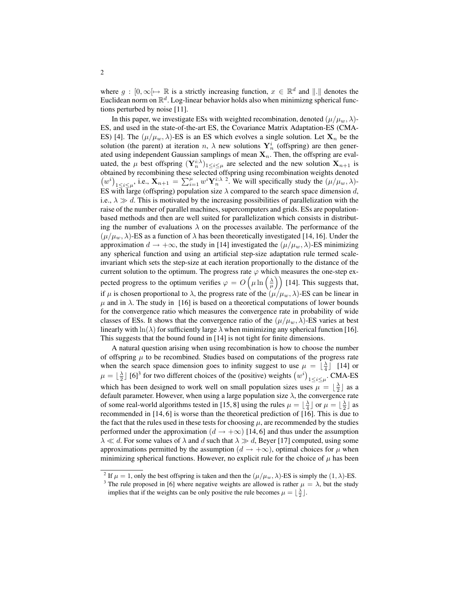where  $g : [0, \infty) \mapsto \mathbb{R}$  is a strictly increasing function,  $x \in \mathbb{R}^d$  and  $\|.\|$  denotes the Euclidean norm on  $\mathbb{R}^d$ . Log-linear behavior holds also when minimizng spherical functions perturbed by noise [11].

In this paper, we investigate ESs with weighted recombination, denoted  $(\mu/\mu_w, \lambda)$ -ES, and used in the state-of-the-art ES, the Covariance Matrix Adaptation-ES (CMA-ES) [4]. The  $(\mu/\mu_w, \lambda)$ -ES is an ES which evolves a single solution. Let  $X_n$  be the solution (the parent) at iteration n,  $\lambda$  new solutions  $Y_n^i$  (offspring) are then generated using independent Gaussian samplings of mean  $X_n$ . Then, the offspring are evaluated, the  $\mu$  best offspring  $(Y_n^{i:\lambda})_{1\leq i\leq \mu}$  are selected and the new solution  $X_{n+1}$  is obtained by recombining these selected offspring using recombination weights denoted  $(w^{i})_{1 \leq i \leq \mu}$ , i.e.,  $\mathbf{X}_{n+1} = \sum_{i=1}^{\mu} w^{i} \mathbf{Y}_{n}^{i:\lambda}$ ? We will specifically study the  $(\mu/\mu_{w}, \lambda)$ -ES with large (offspring) population size  $\lambda$  compared to the search space dimension d, i.e.,  $\lambda \gg d$ . This is motivated by the increasing possibilities of parallelization with the raise of the number of parallel machines, supercomputers and grids. ESs are populationbased methods and then are well suited for parallelization which consists in distributing the number of evaluations  $\lambda$  on the processes available. The performance of the  $(\mu/\mu_w, \lambda)$ -ES as a function of  $\lambda$  has been theoretically investigated [14, 16]. Under the approximation  $d \to +\infty$ , the study in [14] investigated the  $(\mu/\mu_w, \lambda)$ -ES minimizing any spherical function and using an artificial step-size adaptation rule termed scaleinvariant which sets the step-size at each iteration proportionally to the distance of the current solution to the optimum. The progress rate  $\varphi$  which measures the one-step expected progress to the optimum verifies  $\varphi = O\left(\mu \ln\left(\frac{\lambda}{\mu}\right)\right)$  [14]. This suggests that, if  $\mu$  is chosen proportional to  $\lambda$ , the progress rate of the  $(\mu/\mu_w, \lambda)$ -ES can be linear in  $\mu$  and in  $\lambda$ . The study in [16] is based on a theoretical computations of lower bounds for the convergence ratio which measures the convergence rate in probability of wide classes of ESs. It shows that the convergence ratio of the  $(\mu/\mu_w, \lambda)$ -ES varies at best linearly with ln( $\lambda$ ) for sufficiently large  $\lambda$  when minimizing any spherical function [16]. This suggests that the bound found in [14] is not tight for finite dimensions.

A natural question arising when using recombination is how to choose the number of offspring  $\mu$  to be recombined. Studies based on computations of the progress rate when the search space dimension goes to infinity suggest to use  $\mu = \left\lfloor \frac{\lambda}{4} \right\rfloor$  [14] or  $\mu = \lfloor \frac{\lambda}{2} \rfloor$  [6]<sup>3</sup> for two different choices of the (positive) weights  $(w^i)_{1 \le i \le \mu}$ . CMA-ES which has been designed to work well on small population sizes uses  $\mu = \lfloor \frac{\lambda}{2} \rfloor$  as a default parameter. However, when using a large population size  $\lambda$ , the convergence rate of some real-world algorithms tested in [15, 8] using the rules  $\mu = \lfloor \frac{\lambda}{4} \rfloor$  or  $\mu = \lfloor \frac{\lambda}{2} \rfloor$  as recommended in [14, 6] is worse than the theoretical prediction of [16]. This is due to the fact that the rules used in these tests for choosing  $\mu$ , are recommended by the studies performed under the approximation ( $d \rightarrow +\infty$ ) [14, 6] and thus under the assumption  $\lambda \ll d$ . For some values of  $\lambda$  and d such that  $\lambda \gg d$ , Beyer [17] computed, using some approximations permitted by the assumption ( $d \rightarrow +\infty$ ), optimal choices for  $\mu$  when minimizing spherical functions. However, no explicit rule for the choice of  $\mu$  has been

<sup>&</sup>lt;sup>2</sup> If  $\mu = 1$ , only the best offspring is taken and then the  $(\mu/\mu_w, \lambda)$ -ES is simply the  $(1, \lambda)$ -ES.

<sup>&</sup>lt;sup>3</sup> The rule proposed in [6] where negative weights are allowed is rather  $\mu = \lambda$ , but the study implies that if the weights can be only positive the rule becomes  $\mu = \lfloor \frac{\lambda}{2} \rfloor$ .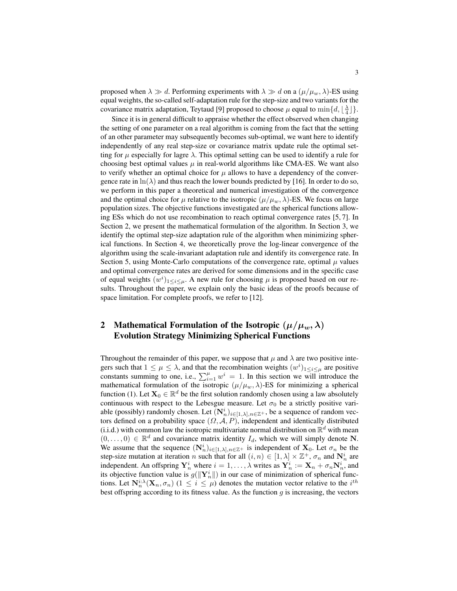proposed when  $\lambda \gg d$ . Performing experiments with  $\lambda \gg d$  on a  $(\mu/\mu_w, \lambda)$ -ES using equal weights, the so-called self-adaptation rule for the step-size and two variants for the covariance matrix adaptation, Teytaud [9] proposed to choose  $\mu$  equal to  $\min\{d, \lfloor \frac{\lambda}{4} \rfloor\}.$ 

Since it is in general difficult to appraise whether the effect observed when changing the setting of one parameter on a real algorithm is coming from the fact that the setting of an other parameter may subsequently becomes sub-optimal, we want here to identify independently of any real step-size or covariance matrix update rule the optimal setting for  $\mu$  especially for lagre  $\lambda$ . This optimal setting can be used to identify a rule for choosing best optimal values  $\mu$  in real-world algorithms like CMA-ES. We want also to verify whether an optimal choice for  $\mu$  allows to have a dependency of the convergence rate in  $\ln(\lambda)$  and thus reach the lower bounds predicted by [16]. In order to do so, we perform in this paper a theoretical and numerical investigation of the convergence and the optimal choice for  $\mu$  relative to the isotropic  $(\mu/\mu_w, \lambda)$ -ES. We focus on large population sizes. The objective functions investigated are the spherical functions allowing ESs which do not use recombination to reach optimal convergence rates [5, 7]. In Section 2, we present the mathematical formulation of the algorithm. In Section 3, we identify the optimal step-size adaptation rule of the algorithm when minimizing spherical functions. In Section 4, we theoretically prove the log-linear convergence of the algorithm using the scale-invariant adaptation rule and identify its convergence rate. In Section 5, using Monte-Carlo computations of the convergence rate, optimal  $\mu$  values and optimal convergence rates are derived for some dimensions and in the specific case of equal weights  $(w^{i})_{1 \leq i \leq \mu}$ . A new rule for choosing  $\mu$  is proposed based on our results. Throughout the paper, we explain only the basic ideas of the proofs because of space limitation. For complete proofs, we refer to [12].

### 2 Mathematical Formulation of the Isotropic  $(\mu/\mu_w, \lambda)$ Evolution Strategy Minimizing Spherical Functions

Throughout the remainder of this paper, we suppose that  $\mu$  and  $\lambda$  are two positive integers such that  $1 \leq \mu \leq \lambda$ , and that the recombination weights  $(w^i)_{1 \leq i \leq \mu}$  are positive constants summing to one, i.e.,  $\sum_{i=1}^{\mu} w^i = 1$ . In this section we will introduce the mathematical formulation of the isotropic  $(\mu/\mu_w, \lambda)$ -ES for minimizing a spherical function (1). Let  $X_0 \in \mathbb{R}^d$  be the first solution randomly chosen using a law absolutely continuous with respect to the Lebesgue measure. Let  $\sigma_0$  be a strictly positive variable (possibly) randomly chosen. Let  $(\mathbf{N}_n^i)_{i \in [1,\lambda], n \in \mathbb{Z}^+}$ , be a sequence of random vectors defined on a probability space  $(\Omega, \mathcal{A}, P)$ , independent and identically distributed (i.i.d.) with common law the isotropic multivariate normal distribution on  $\mathbb{R}^d$  with mean  $(0, \ldots, 0) \in \mathbb{R}^d$  and covariance matrix identity  $I_d$ , which we will simply denote N. We assume that the sequence  $(N_n^i)_{i \in [1,\lambda], n \in \mathbb{Z}^+}$  is independent of  $X_0$ . Let  $\sigma_n$  be the step-size mutation at iteration n such that for all  $(i, n) \in [1, \lambda] \times \mathbb{Z}^+, \sigma_n$  and  $N_n^i$  are independent. An offspring  $Y_n^i$  where  $i = 1, ..., \lambda$  writes as  $Y_n^i := X_n + \sigma_n N_n^i$ , and its objective function value is  $g(||\mathbf{Y}_n^i||)$  in our case of minimization of spherical functions. Let  $N_n^{i:\lambda}(\mathbf{X}_n, \sigma_n)$   $(1 \leq i \leq \mu)$  denotes the mutation vector relative to the  $i^{th}$ best offspring according to its fitness value. As the function  $g$  is increasing, the vectors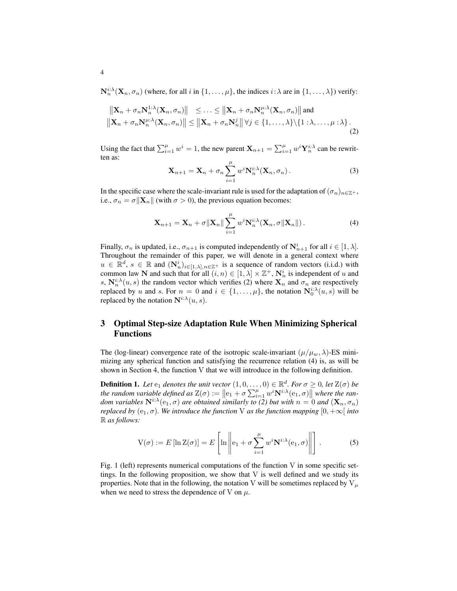$\mathbf{N}_n^{i:\lambda}(\mathbf{X}_n, \sigma_n)$  (where, for all i in  $\{1, \ldots, \mu\}$ , the indices  $i:\lambda$  are in  $\{1, \ldots, \lambda\}$ ) verify:

$$
\|\mathbf{X}_n + \sigma_n \mathbf{N}_n^{1:\lambda}(\mathbf{X}_n, \sigma_n)\| \leq \ldots \leq \|\mathbf{X}_n + \sigma_n \mathbf{N}_n^{\mu:\lambda}(\mathbf{X}_n, \sigma_n)\| \text{ and }
$$
  

$$
\|\mathbf{X}_n + \sigma_n \mathbf{N}_n^{\mu:\lambda}(\mathbf{X}_n, \sigma_n)\| \leq \|\mathbf{X}_n + \sigma_n \mathbf{N}_n^j\| \forall j \in \{1, \ldots, \lambda\} \setminus \{1 : \lambda, \ldots, \mu : \lambda\}.
$$
  
(2)

Using the fact that  $\sum_{i=1}^{\mu} w^i = 1$ , the new parent  $\mathbf{X}_{n+1} = \sum_{i=1}^{\mu} w^i \mathbf{Y}_n^{i:\lambda}$  can be rewritten as:  $\mu$ 

$$
\mathbf{X}_{n+1} = \mathbf{X}_n + \sigma_n \sum_{i=1}^{\mu} w^i \mathbf{N}_n^{i;\lambda} (\mathbf{X}_n, \sigma_n).
$$
 (3)

In the specific case where the scale-invariant rule is used for the adaptation of  $(\sigma_n)_{n\in\mathbb{Z}^+}$ , i.e.,  $\sigma_n = \sigma ||\mathbf{X}_n||$  (with  $\sigma > 0$ ), the previous equation becomes:

$$
\mathbf{X}_{n+1} = \mathbf{X}_n + \sigma \|\mathbf{X}_n\| \sum_{i=1}^{\mu} w^i \mathbf{N}_n^{i:\lambda} (\mathbf{X}_n, \sigma \|\mathbf{X}_n\|).
$$
 (4)

Finally,  $\sigma_n$  is updated, i.e.,  $\sigma_{n+1}$  is computed independently of  $N_{n+1}^i$  for all  $i \in [1, \lambda]$ . Throughout the remainder of this paper, we will denote in a general context where  $u \in \mathbb{R}^d$ ,  $s \in \mathbb{R}$  and  $(\mathbf{N}_n^i)_{i \in [1,\lambda], n \in \mathbb{Z}^+}$  is a sequence of random vectors (i.i.d.) with common law N and such that for all  $(i, n) \in [1, \lambda] \times \mathbb{Z}^+$ ,  $N_n^i$  is independent of u and s,  $N_n^{i:\lambda}(u, s)$  the random vector which verifies (2) where  $X_n$  and  $\sigma_n$  are respectively replaced by u and s. For  $n = 0$  and  $i \in \{1, ..., \mu\}$ , the notation  $\mathbf{N}_0^{i:\lambda}(u, s)$  will be replaced by the notation  $N^{i:\lambda}(u, s)$ .

### 3 Optimal Step-size Adaptation Rule When Minimizing Spherical Functions

The (log-linear) convergence rate of the isotropic scale-invariant  $(\mu/\mu_w, \lambda)$ -ES minimizing any spherical function and satisfying the recurrence relation (4) is, as will be shown in Section 4, the function V that we will introduce in the following definition.

**Definition 1.** Let  $e_1$  denotes the unit vector  $(1,0,\ldots,0) \in \mathbb{R}^d$ . For  $\sigma \geq 0$ , let  $\mathbb{Z}(\sigma)$  be *the random variable defined as*  $Z(\sigma) := ||e_1 + \sigma \sum_{i=1}^{\mu} w^i \mathbf{N}^{i:\lambda}(e_1, \sigma)||$  where the ran*dom variables*  $N^{i.\lambda}(e_1,\sigma)$  *are obtained similarly to* (2) *but with*  $n = 0$  *and*  $(X_n, \sigma_n)$ *replaced by* ( $e_1, \sigma$ )*. We introduce the function* V *as the function mapping*  $[0, +\infty)$  *into* R *as follows:*

$$
V(\sigma) := E[\ln Z(\sigma)] = E\left[\ln \left\|e_1 + \sigma \sum_{i=1}^{\mu} w^i \mathbf{N}^{i:\lambda}(e_1, \sigma)\right\|\right].
$$
 (5)

Fig. 1 (left) represents numerical computations of the function V in some specific settings. In the following proposition, we show that  $V$  is well defined and we study its properties. Note that in the following, the notation V will be sometimes replaced by  $V_\mu$ when we need to stress the dependence of V on  $\mu$ .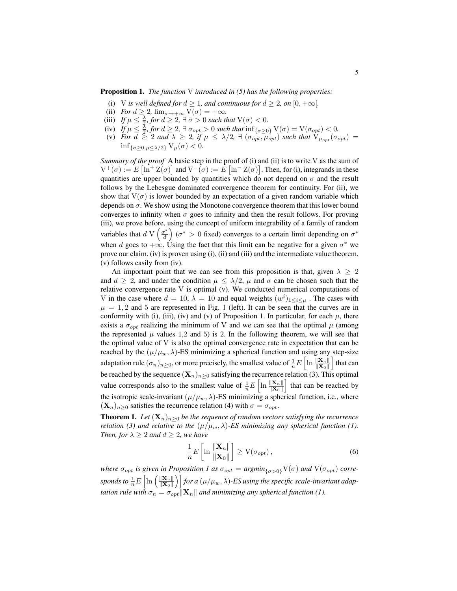#### Proposition 1. *The function* V *introduced in (5) has the following properties:*

- (i) V *is well defined for*  $d \geq 1$ *, and continuous for*  $d \geq 2$ *, on*  $[0, +\infty[$ *.*
- (ii) *For*  $d \geq 2$ ,  $\lim_{\sigma \to +\infty} V(\sigma) = +\infty$ .
- (iii) *If*  $\mu \leq \frac{\lambda}{2}$ , for  $d \geq 2$ ,  $\exists \bar{\sigma} > 0$  such that  $V(\bar{\sigma}) < 0$ .
- (iv) *If*  $\mu \leq \frac{5}{2}$ , for  $d \geq 2$ ,  $\exists \sigma_{opt} > 0$  such that  $\inf_{\{\sigma \geq 0\}} V(\sigma) = V(\sigma_{opt}) < 0$ .
- (v) *For*  $d \geq 2$  *and*  $\lambda \geq 2$ , if  $\mu \leq \lambda/2$ ,  $\exists$  ( $\sigma_{opt}, \mu_{opt}$ ) *such that*  $V_{\mu_{opt}}(\sigma_{opt})$  =  $\inf_{\{\sigma>0, u\leq \lambda/2\}} V_u(\sigma) < 0.$

*Summary of the proof* A basic step in the proof of (i) and (ii) is to write V as the sum of  $V^+(\sigma) := E \left[ \ln^+ Z(\sigma) \right]$  and  $V^-(\sigma) := E \left[ \ln^- Z(\sigma) \right]$ . Then, for (i), integrands in these quantities are upper bounded by quantities which do not depend on  $\sigma$  and the result follows by the Lebesgue dominated convergence theorem for continuity. For (ii), we show that  $V(\sigma)$  is lower bounded by an expectation of a given random variable which depends on  $\sigma$ . We show using the Monotone convergence theorem that this lower bound converges to infinity when  $\sigma$  goes to infinity and then the result follows. For proving (iii), we prove before, using the concept of uniform integrability of a family of random variables that  $d \text{ V} \left( \frac{\sigma^*}{d} \right)$  $\left(\sigma^* > 0 \text{ fixed}\right)$  converges to a certain limit depending on  $\sigma^*$ when d goes to  $+\infty$ . Using the fact that this limit can be negative for a given  $\sigma^*$  we prove our claim. (iv) is proven using (i), (ii) and (iii) and the intermediate value theorem. (v) follows easily from (iv).

An important point that we can see from this proposition is that, given  $\lambda \geq 2$ and  $d \geq 2$ , and under the condition  $\mu \leq \lambda/2$ ,  $\mu$  and  $\sigma$  can be chosen such that the relative convergence rate V is optimal (v). We conducted numerical computations of V in the case where  $d = 10$ ,  $\lambda = 10$  and equal weights  $(w^{i})_{1 \leq i \leq \mu}$ . The cases with  $\mu = 1, 2$  and 5 are represented in Fig. 1 (left). It can be seen that the curves are in conformity with (i), (iii), (iv) and (v) of Proposition 1. In particular, for each  $\mu$ , there exists a  $\sigma_{\text{out}}$  realizing the minimum of V and we can see that the optimal  $\mu$  (among the represented  $\mu$  values 1,2 and 5) is 2. In the following theorem, we will see that the optimal value of V is also the optimal convergence rate in expectation that can be reached by the  $(\mu/\mu_w, \lambda)$ -ES minimizing a spherical function and using any step-size adaptation rule  $(\sigma_n)_{n\geq 0}$ , or more precisely, the smallest value of  $\frac{1}{n}E\left[\ln\frac{\|{\bf X}_n\|}{\|{\bf X}_0\|}\right]$  that can be reached by the sequence  $(X_n)_{n\geq 0}$  satisfying the recurrence relation (3). This optimal value corresponds also to the smallest value of  $\frac{1}{n}E\left[\ln \frac{\|\mathbf{X}_n\|}{\|\mathbf{X}_0\|}\right]$  that can be reached by the isotropic scale-invariant  $(\mu/\mu_w, \lambda)$ -ES minimizing a spherical function, i.e., where  $(\mathbf{X}_n)_{n>0}$  satisfies the recurrence relation (4) with  $\sigma = \sigma_{opt}$ .

**Theorem 1.** Let  $(X_n)_{n>0}$  be the sequence of random vectors satisfying the recurrence *relation (3) and relative to the*  $(\mu/\mu_w, \lambda)$ *-ES minimizing any spherical function (1). Then, for*  $\lambda \geq 2$  *and*  $d \geq 2$ *, we have* 

$$
\frac{1}{n}E\left[\ln\frac{\|\mathbf{X}_n\|}{\|\mathbf{X}_0\|}\right] \ge \mathcal{V}(\sigma_{opt}),\tag{6}
$$

*where*  $\sigma_{opt}$  *is given in Proposition 1 as*  $\sigma_{opt} = argmin_{\{\sigma > 0\}} V(\sigma)$  *and*  $V(\sigma_{opt})$  *corresponds to*  $\frac{1}{n}E\left[\ln\left(\frac{\|\mathbf{X}_n\|}{\|\mathbf{X}_0\|}\right)\right]$  $\frac{\|\mathbf{X}_n\|}{\|\mathbf{X}_0\|}\Big)\Big|$  for a  $(\mu/\mu_w,\lambda)$ -ES using the specific scale-invariant adap*tation rule with*  $\sigma_n = \sigma_{opt} ||\mathbf{X}_n||$  *and minimizing any spherical function (1).*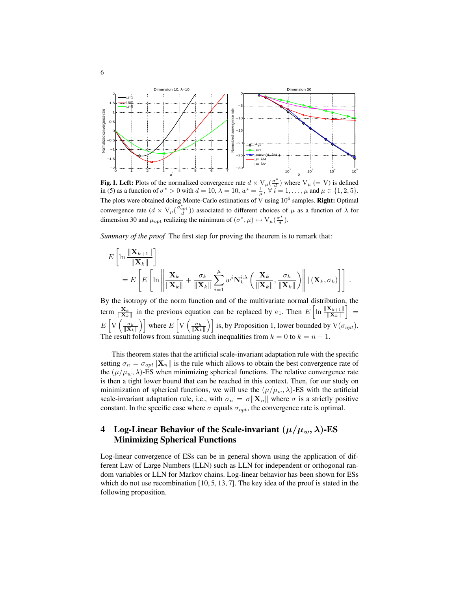

**Fig. 1. Left:** Plots of the normalized convergence rate  $d \times V_{\mu}(\frac{\sigma^*}{d})$  $\left(\frac{d}{d}\right)$  where  $V_{\mu}$  (= V) is defined in (5) as a function of  $\sigma^* > 0$  with  $d = 10$ ,  $\lambda = 10$ ,  $w^i = \frac{1}{\mu}$ ,  $\forall i = 1, \ldots, \mu$  and  $\mu \in \{1, 2, 5\}$ . The plots were obtained doing Monte-Carlo estimations of V using  $10^6$  samples. **Right:** Optimal convergence rate  $(d \times V_{\mu}(\frac{\sigma_{\text{opt}}^{*}}{d}))$  associated to different choices of  $\mu$  as a function of  $\lambda$  for dimension 30 and  $\mu_{\text{opt}}$  realizing the minimum of  $(\sigma^*, \mu) \mapsto V_\mu(\frac{\sigma^*}{d}).$ 

*Summary of the proof* The first step for proving the theorem is to remark that:

$$
E\left[\ln\frac{\|\mathbf{X}_{k+1}\|}{\|\mathbf{X}_k\|}\right]
$$
  
= 
$$
E\left[E\left[\ln\left\|\frac{\mathbf{X}_k}{\|\mathbf{X}_k\|}+\frac{\sigma_k}{\|\mathbf{X}_k\|}\sum_{i=1}^\mu w^i \mathbf{N}_k^{i:\lambda}\left(\frac{\mathbf{X}_k}{\|\mathbf{X}_k\|}, \frac{\sigma_k}{\|\mathbf{X}_k\|}\right)\right\| | (\mathbf{X}_k, \sigma_k)\right]\right].
$$

By the isotropy of the norm function and of the multivariate normal distribution, the term  $\frac{\mathbf{X}_k}{\|\mathbf{X}_k\|}$  in the previous equation can be replaced by e<sub>1</sub>. Then  $E\left[\ln \frac{\|\mathbf{X}_{k+1}\|}{\|\mathbf{X}_k\|}\right] =$  $E\left[\mathrm{V}\left(\frac{\sigma_k}{\|\mathbf{X}_k\|}\right)\right]$  where  $E\left[\mathrm{V}\left(\frac{\sigma_k}{\|\mathbf{X}_k\|}\right)\right]$  is, by Proposition 1, lower bounded by  $\mathrm{V}(\sigma_{opt})$ . The result follows from summing such inequalities from  $k = 0$  to  $k = n - 1$ .

This theorem states that the artificial scale-invariant adaptation rule with the specific setting  $\sigma_n = \sigma_{opt} ||\mathbf{X}_n||$  is the rule which allows to obtain the best convergence rate of the  $(\mu/\mu_w, \lambda)$ -ES when minimizing spherical functions. The relative convergence rate is then a tight lower bound that can be reached in this context. Then, for our study on minimization of spherical functions, we will use the  $(\mu/\mu_w, \lambda)$ -ES with the artificial scale-invariant adaptation rule, i.e., with  $\sigma_n = \sigma ||\mathbf{X}_n||$  where  $\sigma$  is a strictly positive constant. In the specific case where  $\sigma$  equals  $\sigma_{opt}$ , the convergence rate is optimal.

#### 4 Log-Linear Behavior of the Scale-invariant  $(\mu/\mu_w, \lambda)$ -ES Minimizing Spherical Functions

Log-linear convergence of ESs can be in general shown using the application of different Law of Large Numbers (LLN) such as LLN for independent or orthogonal random variables or LLN for Markov chains. Log-linear behavior has been shown for ESs which do not use recombination [10, 5, 13, 7]. The key idea of the proof is stated in the following proposition.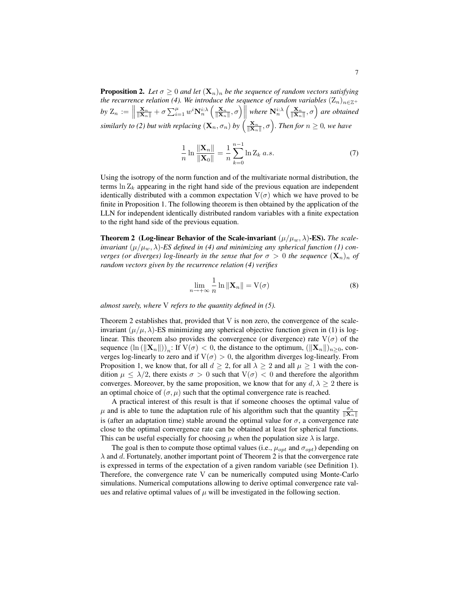**Proposition 2.** Let  $\sigma \geq 0$  and let  $(\mathbf{X}_n)_n$  be the sequence of random vectors satisfying *the recurrence relation (4). We introduce the sequence of random variables*  $(Z_n)_{n \in \mathbb{Z}^+}$ by  $Z_n := \left\| \right\|$  $\frac{\mathbf{X}_n}{\|\mathbf{X}_n\|} + \sigma \sum_{i=1}^{\mu} w^i \mathbf{N}_n^{i:\lambda} \left( \frac{\mathbf{X}_n}{\|\mathbf{X}_n\|}, \sigma \right) \left\|$  where  $\mathbf{N}_n^{i:\lambda} \left( \frac{\mathbf{X}_n}{\|\mathbf{X}_n\|}, \sigma \right)$  are obtained  $s$ *imilarly to (2) but with replacing*  $(\mathbf{X}_n, \sigma_n)$  *by*  $\left(\frac{\mathbf{X}_n}{\|\mathbf{X}_n\|}, \sigma\right)$ *. Then for*  $n \geq 0$ *, we have* 

$$
\frac{1}{n} \ln \frac{\|\mathbf{X}_n\|}{\|\mathbf{X}_0\|} = \frac{1}{n} \sum_{k=0}^{n-1} \ln Z_k \ a.s.
$$
 (7)

Using the isotropy of the norm function and of the multivariate normal distribution, the terms  $\ln Z_k$  appearing in the right hand side of the previous equation are independent identically distributed with a common expectation  $V(\sigma)$  which we have proved to be finite in Proposition 1. The following theorem is then obtained by the application of the LLN for independent identically distributed random variables with a finite expectation to the right hand side of the previous equation.

**Theorem 2** (Log-linear Behavior of the Scale-invariant  $(\mu/\mu_w, \lambda)$ -ES). *The scaleinvariant*  $(\mu/\mu_w, \lambda)$ -*ES defined in (4) and minimizing any spherical function (1) converges (or diverges) log-linearly in the sense that for*  $\sigma > 0$  *the sequence*  $(\mathbf{X}_n)_n$  *of random vectors given by the recurrence relation (4) verifies*

$$
\lim_{n \to +\infty} \frac{1}{n} \ln \|\mathbf{X}_n\| = \mathbf{V}(\sigma)
$$
\n(8)

*almost surely, where* V *refers to the quantity defined in (5).*

Theorem 2 establishes that, provided that V is non zero, the convergence of the scaleinvariant  $(\mu/\mu, \lambda)$ -ES minimizing any spherical objective function given in (1) is loglinear. This theorem also provides the convergence (or divergence) rate  $V(\sigma)$  of the sequence  $(\ln (\|\mathbf{X}_n\|))_n$ : If  $V(\sigma) < 0$ , the distance to the optimum,  $(\|\mathbf{X}_n\|)_{n \geq 0}$ , converges log-linearly to zero and if  $V(\sigma) > 0$ , the algorithm diverges log-linearly. From Proposition 1, we know that, for all  $d \geq 2$ , for all  $\lambda \geq 2$  and all  $\mu \geq 1$  with the condition  $\mu \leq \lambda/2$ , there exists  $\sigma > 0$  such that  $V(\sigma) < 0$  and therefore the algorithm converges. Moreover, by the same proposition, we know that for any  $d, \lambda \geq 2$  there is an optimal choice of  $(\sigma, \mu)$  such that the optimal convergence rate is reached.

A practical interest of this result is that if someone chooses the optimal value of  $\mu$  and is able to tune the adaptation rule of his algorithm such that the quantity  $\frac{\sigma_n}{\|\mathbf{X}_n\|}$ is (after an adaptation time) stable around the optimal value for  $\sigma$ , a convergence rate close to the optimal convergence rate can be obtained at least for spherical functions. This can be useful especially for choosing  $\mu$  when the population size  $\lambda$  is large.

The goal is then to compute those optimal values (i.e.,  $\mu_{opt}$  and  $\sigma_{opt}$ ) depending on  $\lambda$  and d. Fortunately, another important point of Theorem 2 is that the convergence rate is expressed in terms of the expectation of a given random variable (see Definition 1). Therefore, the convergence rate V can be numerically computed using Monte-Carlo simulations. Numerical computations allowing to derive optimal convergence rate values and relative optimal values of  $\mu$  will be investigated in the following section.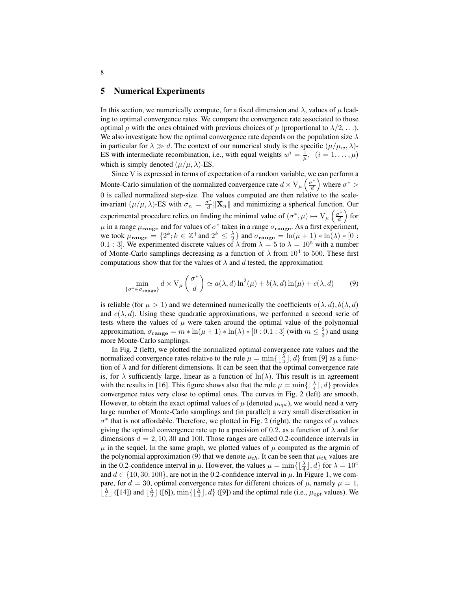#### 5 Numerical Experiments

In this section, we numerically compute, for a fixed dimension and  $\lambda$ , values of  $\mu$  leading to optimal convergence rates. We compare the convergence rate associated to those optimal  $\mu$  with the ones obtained with previous choices of  $\mu$  (proportional to  $\lambda/2$ , ...). We also investigate how the optimal convergence rate depends on the population size  $\lambda$ in particular for  $\lambda \gg d$ . The context of our numerical study is the specific  $(\mu/\mu_w, \lambda)$ -ES with intermediate recombination, i.e., with equal weights  $w^i = \frac{1}{\mu}$ ,  $(i = 1, \dots, \mu)$ which is simply denoted  $(\mu/\mu, \lambda)$ -ES.

Since V is expressed in terms of expectation of a random variable, we can perform a Monte-Carlo simulation of the normalized convergence rate  $d \times V_{\mu}$   $\left(\frac{\sigma^*}{d}\right)$  $\left(\frac{\sigma^*}{d}\right)$  where  $\sigma^*$  > 0 is called normalized step-size. The values computed are then relative to the scaleinvariant  $(\mu/\mu, \lambda)$ -ES with  $\sigma_n = \frac{\sigma^*}{d}$  $\mathbf{X}_n^*$  || $\mathbf{X}_n$ || and minimizing a spherical function. Our experimental procedure relies on finding the minimal value of  $(\sigma^*, \mu) \mapsto V_\mu \left( \frac{\sigma^*}{d} \right)$  $\left(\frac{\sigma^*}{d}\right)$  for  $\mu$  in a range  $\mu_{\textbf{range}}$  and for values of  $\sigma^*$  taken in a range  $\sigma_{\textbf{range}}$ . As a first experiment, we took  $\mu_{\textbf{range}} = \{2^k; k \in \mathbb{Z}^+ \text{ and } 2^k \leq \frac{\lambda}{2}\}\$ and  $\sigma_{\textbf{range}} = \ln(\mu + 1) * \ln(\lambda) * [0 :$ 0.1 : 3. We experimented discrete values of  $\lambda$  from  $\lambda = 5$  to  $\lambda = 10^5$  with a number of Monte-Carlo samplings decreasing as a function of  $\lambda$  from  $10^4$  to 500. These first computations show that for the values of  $\lambda$  and d tested, the approximation

$$
\min_{\{\sigma^* \in \sigma_{\text{range}}\}} d \times V_{\mu} \left(\frac{\sigma^*}{d}\right) \simeq a(\lambda, d) \ln^2(\mu) + b(\lambda, d) \ln(\mu) + c(\lambda, d) \tag{9}
$$

is reliable (for  $\mu > 1$ ) and we determined numerically the coefficients  $a(\lambda, d)$ ,  $b(\lambda, d)$ and  $c(\lambda, d)$ . Using these quadratic approximations, we performed a second serie of tests where the values of  $\mu$  were taken around the optimal value of the polynomial approximation,  $\sigma_{\textbf{range}} = m * \ln(\mu + 1) * \ln(\lambda) * [0:0.1:3]$  (with  $m \leq \frac{2}{3}$ ) and using more Monte-Carlo samplings.

In Fig. 2 (left), we plotted the normalized optimal convergence rate values and the normalized convergence rates relative to the rule  $\mu = \min\{\lfloor \frac{\lambda}{4} \rfloor, d\}$  from [9] as a function of  $\lambda$  and for different dimensions. It can be seen that the optimal convergence rate is, for  $\lambda$  sufficiently large, linear as a function of  $\ln(\lambda)$ . This result is in agreement with the results in [16]. This figure shows also that the rule  $\mu = \min\{\lfloor \frac{\lambda}{4} \rfloor, d\}$  provides convergence rates very close to optimal ones. The curves in Fig. 2 (left) are smooth. However, to obtain the exact optimal values of  $\mu$  (denoted  $\mu_{\text{out}}$ ), we would need a very large number of Monte-Carlo samplings and (in parallel) a very small discretisation in  $\sigma^*$  that is not affordable. Therefore, we plotted in Fig. 2 (right), the ranges of  $\mu$  values giving the optimal convergence rate up to a precision of 0.2, as a function of  $\lambda$  and for dimensions  $d = 2, 10, 30$  and 100. Those ranges are called 0.2-confidence intervals in  $\mu$  in the sequel. In the same graph, we plotted values of  $\mu$  computed as the argmin of the polynomial approximation (9) that we denote  $\mu_{th}$ . It can be seen that  $\mu_{th}$  values are in the 0.2-confidence interval in  $\mu$ . However, the values  $\mu = \min\{\lfloor \frac{\lambda}{4} \rfloor, d\}$  for  $\lambda = 10^4$ and  $d \in \{10, 30, 100\}$ , are not in the 0.2-confidence interval in  $\mu$ . In Figure 1, we compare, for  $d = 30$ , optimal convergence rates for different choices of  $\mu$ , namely  $\mu = 1$ ,  $\lfloor \frac{\lambda}{4} \rfloor$  ([14]) and  $\lfloor \frac{\lambda}{2} \rfloor$  ([6]), min{ $\lfloor \frac{\lambda}{4} \rfloor$ , d} ([9]) and the optimal rule (i.e.,  $\mu_{opt}$  values). We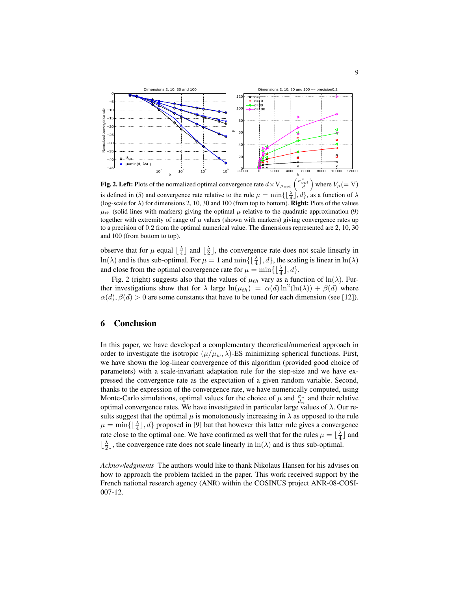

**Fig. 2. Left:** Plots of the normalized optimal convergence rate  $d \times V_{\mu_{opt}} \left( \frac{\sigma_{opt}^*}{d} \right)$  where  $V_\mu (= V)$ is defined in (5) and convergence rate relative to the rule  $\mu = \min\{\lfloor \frac{\lambda}{4} \rfloor, d\}$ , as a function of  $\lambda$ (log-scale for  $\lambda$ ) for dimensions 2, 10, 30 and 100 (from top to bottom). **Right:** Plots of the values  $\mu_{th}$  (solid lines with markers) giving the optimal  $\mu$  relative to the quadratic approximation (9) together with extremity of range of  $\mu$  values (shown with markers) giving convergence rates up to a precision of 0.2 from the optimal numerical value. The dimensions represented are 2, 10, 30 and 100 (from bottom to top).

observe that for  $\mu$  equal  $\lfloor \frac{\lambda}{4} \rfloor$  and  $\lfloor \frac{\lambda}{2} \rfloor$ , the convergence rate does not scale linearly in  $\ln(\lambda)$  and is thus sub-optimal. For  $\mu = 1$  and  $\min\{\lfloor \frac{\lambda}{4} \rfloor, d\}$ , the scaling is linear in  $\ln(\lambda)$ and close from the optimal convergence rate for  $\mu = \min\{\lfloor \frac{\lambda}{4}\rfloor, d\}.$ 

Fig. 2 (right) suggests also that the values of  $\mu_{th}$  vary as a function of  $\ln(\lambda)$ . Further investigations show that for  $\lambda$  large  $\ln(\mu_{th}) = \alpha(d) \ln^2(\ln(\lambda)) + \beta(d)$  where  $\alpha(d)$ ,  $\beta(d) > 0$  are some constants that have to be tuned for each dimension (see [12]).

#### 6 Conclusion

In this paper, we have developed a complementary theoretical/numerical approach in order to investigate the isotropic  $(\mu/\mu_w, \lambda)$ -ES minimizing spherical functions. First, we have shown the log-linear convergence of this algorithm (provided good choice of parameters) with a scale-invariant adaptation rule for the step-size and we have expressed the convergence rate as the expectation of a given random variable. Second, thanks to the expression of the convergence rate, we have numerically computed, using Monte-Carlo simulations, optimal values for the choice of  $\mu$  and  $\frac{\sigma_n}{d_n}$  and their relative optimal convergence rates. We have investigated in particular large values of  $\lambda$ . Our results suggest that the optimal  $\mu$  is monotonously increasing in  $\lambda$  as opposed to the rule  $\mu = \min\{\lfloor \frac{\lambda}{4} \rfloor, d\}$  proposed in [9] but that however this latter rule gives a convergence rate close to the optimal one. We have confirmed as well that for the rules  $\mu = \lfloor \frac{\lambda}{4} \rfloor$  and  $\lfloor \frac{\lambda}{2} \rfloor$ , the convergence rate does not scale linearly in  $\ln(\lambda)$  and is thus sub-optimal.

*Acknowledgments* The authors would like to thank Nikolaus Hansen for his advises on how to approach the problem tackled in the paper. This work received support by the French national research agency (ANR) within the COSINUS project ANR-08-COSI-007-12.